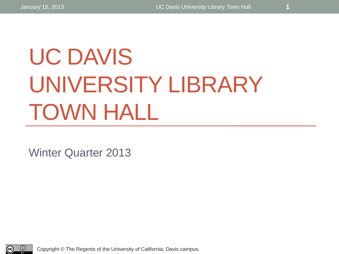# UC DAVIS UNIVERSITY LIBRARY TOWN HALL

Winter Quarter 2013

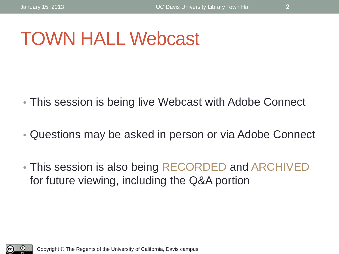### TOWN HALL Webcast

- This session is being live Webcast with Adobe Connect
- Questions may be asked in person or via Adobe Connect
- This session is also being RECORDED and ARCHIVED for future viewing, including the Q&A portion

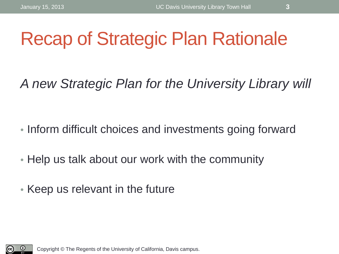### Recap of Strategic Plan Rationale

*A new Strategic Plan for the University Library will* 

- Inform difficult choices and investments going forward
- Help us talk about our work with the community
- Keep us relevant in the future

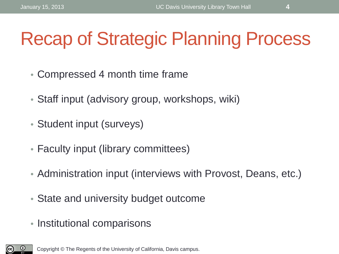## Recap of Strategic Planning Process

- Compressed 4 month time frame
- Staff input (advisory group, workshops, wiki)
- Student input (surveys)
- Faculty input (library committees)
- Administration input (interviews with Provost, Deans, etc.)
- State and university budget outcome
- Institutional comparisons

 $\bm{\mathsf{o}}$ (cc).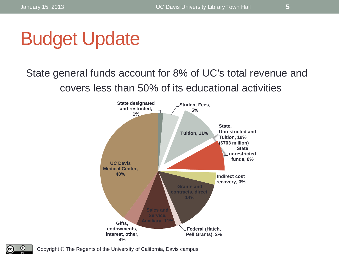

### State general funds account for 8% of UC's total revenue and covers less than 50% of its educational activities



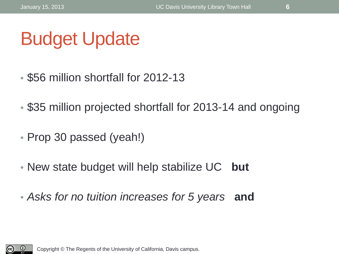## Budget Update

- \$56 million shortfall for 2012-13
- \$35 million projected shortfall for 2013-14 and ongoing
- Prop 30 passed (yeah!)
- New state budget will help stabilize UC **but**
- *Asks for no tuition increases for 5 years* **and**

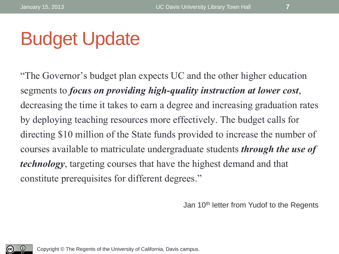### Budget Update

"The Governor's budget plan expects UC and the other higher education segments to *focus on providing high-quality instruction at lower cost*, decreasing the time it takes to earn a degree and increasing graduation rates by deploying teaching resources more effectively. The budget calls for directing \$10 million of the State funds provided to increase the number of courses available to matriculate undergraduate students *through the use of technology*, targeting courses that have the highest demand and that constitute prerequisites for different degrees."

Jan 10th letter from Yudof to the Regents

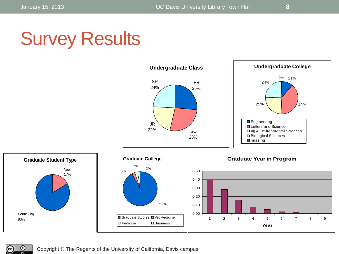$\odot$ 

©.

## Survey Results



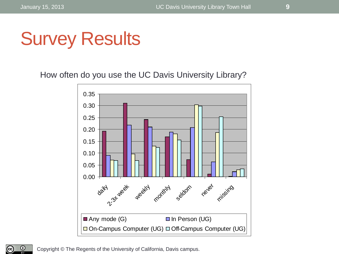### Survey Results

How often do you use the UC Davis University Library?



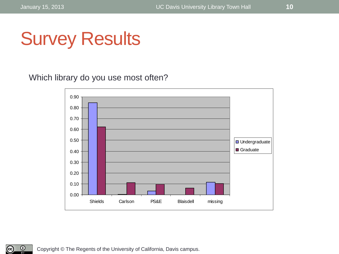©.



Which library do you use most often?



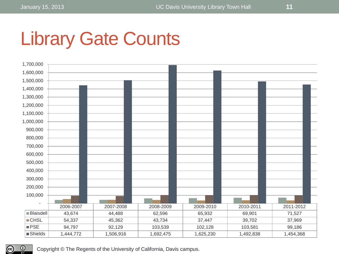## Library Gate Counts



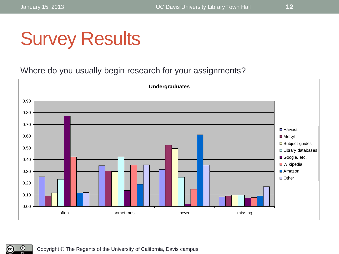## Survey Results

Where do you usually begin research for your assignments?



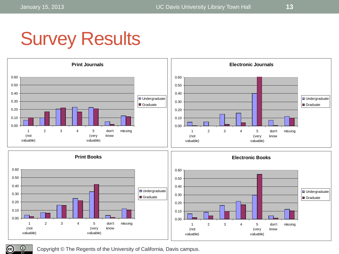## Survey Results



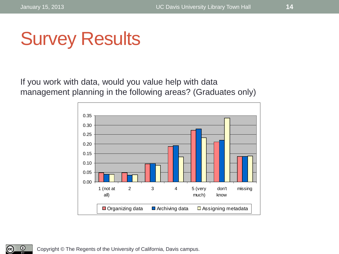$\odot$ 

©,

### Survey Results

If you work with data, would you value help with data management planning in the following areas? (Graduates only)

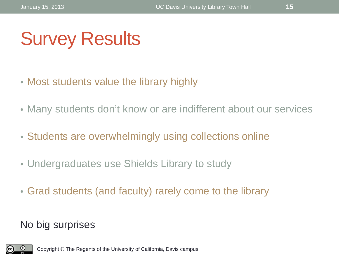## Survey Results

- Most students value the library highly
- Many students don't know or are indifferent about our services
- Students are overwhelmingly using collections online
- Undergraduates use Shields Library to study
- Grad students (and faculty) rarely come to the library

### No big surprises

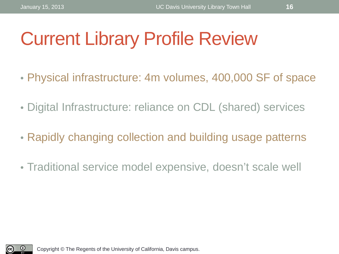### Current Library Profile Review

- Physical infrastructure: 4m volumes, 400,000 SF of space
- Digital Infrastructure: reliance on CDL (shared) services
- Rapidly changing collection and building usage patterns
- Traditional service model expensive, doesn't scale well

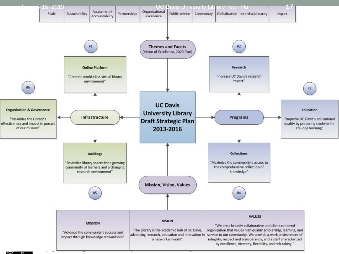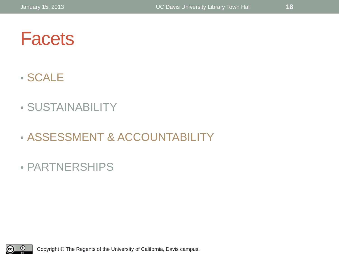### **Facets**

### • SCALE

### • SUSTAINABILITY

### • ASSESSMENT & ACCOUNTABILITY

### • PARTNERSHIPS

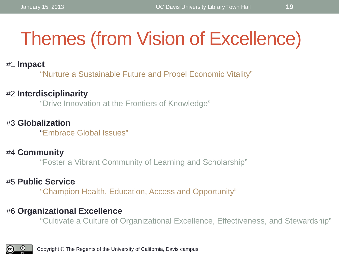## Themes (from Vision of Excellence)

#### #1 **Impact**

"Nurture a Sustainable Future and Propel Economic Vitality"

#### #2 **Interdisciplinarity**

"Drive Innovation at the Frontiers of Knowledge"

#### #3 **Globalization**

"Embrace Global Issues"

#### #4 **Community**

"Foster a Vibrant Community of Learning and Scholarship"

#### #5 **Public Service**

"Champion Health, Education, Access and Opportunity"

#### #6 **Organizational Excellence**

"Cultivate a Culture of Organizational Excellence, Effectiveness, and Stewardship"

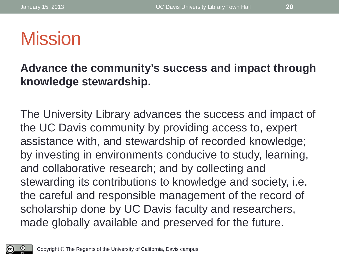### **Mission**

### **Advance the community's success and impact through knowledge stewardship.**

The University Library advances the success and impact of the UC Davis community by providing access to, expert assistance with, and stewardship of recorded knowledge; by investing in environments conducive to study, learning, and collaborative research; and by collecting and stewarding its contributions to knowledge and society, i.e. the careful and responsible management of the record of scholarship done by UC Davis faculty and researchers, made globally available and preserved for the future.

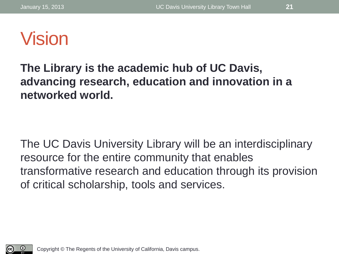### Vision

### **The Library is the academic hub of UC Davis, advancing research, education and innovation in a networked world.**

The UC Davis University Library will be an interdisciplinary resource for the entire community that enables transformative research and education through its provision of critical scholarship, tools and services.

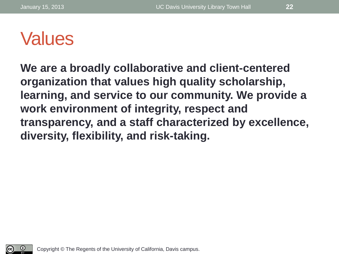### Values

**We are a broadly collaborative and client-centered organization that values high quality scholarship, learning, and service to our community. We provide a work environment of integrity, respect and transparency, and a staff characterized by excellence, diversity, flexibility, and risk-taking.**

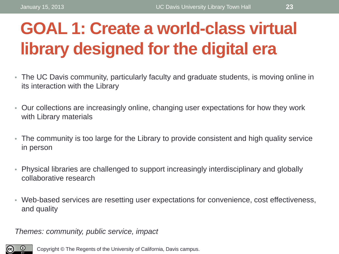### **GOAL 1: Create a world-class virtual library designed for the digital era**

- The UC Davis community, particularly faculty and graduate students, is moving online in its interaction with the Library
- Our collections are increasingly online, changing user expectations for how they work with Library materials
- The community is too large for the Library to provide consistent and high quality service in person
- Physical libraries are challenged to support increasingly interdisciplinary and globally collaborative research
- Web-based services are resetting user expectations for convenience, cost effectiveness, and quality

*Themes: community, public service, impact*

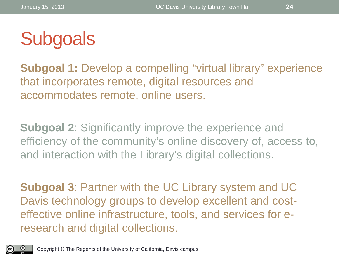

**Subgoal 1:** Develop a compelling "virtual library" experience that incorporates remote, digital resources and accommodates remote, online users.

**Subgoal 2**: Significantly improve the experience and efficiency of the community's online discovery of, access to, and interaction with the Library's digital collections.

**Subgoal 3**: Partner with the UC Library system and UC Davis technology groups to develop excellent and costeffective online infrastructure, tools, and services for eresearch and digital collections.

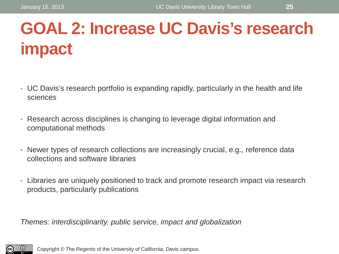### **GOAL 2: Increase UC Davis's research impact**

- UC Davis's research portfolio is expanding rapidly, particularly in the health and life sciences
- Research across disciplines is changing to leverage digital information and computational methods
- Newer types of research collections are increasingly crucial, e.g., reference data collections and software libraries
- Libraries are uniquely positioned to track and promote research impact via research products, particularly publications

*Themes: interdisciplinarity, public service, impact and globalization*

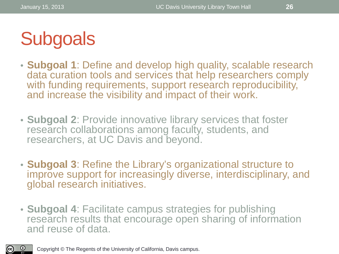

- **Subgoal 1**: Define and develop high quality, scalable research data curation tools and services that help researchers comply with funding requirements, support research reproducibility, and increase the visibility and impact of their work.
- **Subgoal 2**: Provide innovative library services that foster research collaborations among faculty, students, and researchers, at UC Davis and beyond.
- **Subgoal 3**: Refine the Library's organizational structure to improve support for increasingly diverse, interdisciplinary, and global research initiatives.
- **Subgoal 4**: Facilitate campus strategies for publishing research results that encourage open sharing of information and reuse of data.

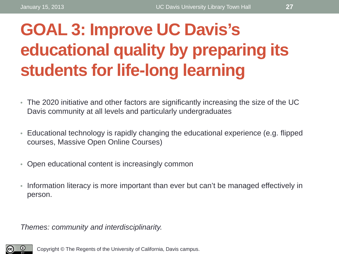### **GOAL 3: Improve UC Davis's educational quality by preparing its students for life-long learning**

- The 2020 initiative and other factors are significantly increasing the size of the UC Davis community at all levels and particularly undergraduates
- Educational technology is rapidly changing the educational experience (e.g. flipped courses, Massive Open Online Courses)
- Open educational content is increasingly common
- Information literacy is more important than ever but can't be managed effectively in person.

*Themes: community and interdisciplinarity.*

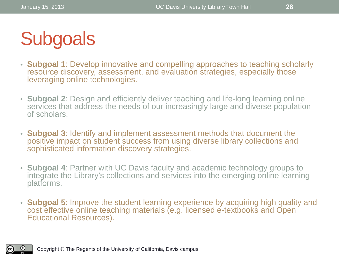## **Subgoals**

- **Subgoal 1**: Develop innovative and compelling approaches to teaching scholarly resource discovery, assessment, and evaluation strategies, especially those leveraging online technologies.
- **Subgoal 2**: Design and efficiently deliver teaching and life-long learning online services that address the needs of our increasingly large and diverse population of scholars.
- **Subgoal 3**: Identify and implement assessment methods that document the positive impact on student success from using diverse library collections and sophisticated information discovery strategies.
- **Subgoal 4**: Partner with UC Davis faculty and academic technology groups to integrate the Library's collections and services into the emerging online learning platforms.
- **Subgoal 5**: Improve the student learning experience by acquiring high quality and cost effective online teaching materials (e.g. licensed e-textbooks and Open Educational Resources).

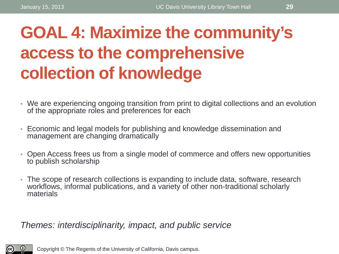### **GOAL 4: Maximize the community's access to the comprehensive collection of knowledge**

- We are experiencing ongoing transition from print to digital collections and an evolution of the appropriate roles and preferences for each
- Economic and legal models for publishing and knowledge dissemination and management are changing dramatically
- Open Access frees us from a single model of commerce and offers new opportunities to publish scholarship
- The scope of research collections is expanding to include data, software, research workflows, informal publications, and a variety of other non-traditional scholarly materials

*Themes: interdisciplinarity, impact, and public service*

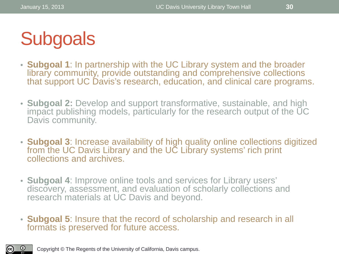

- **Subgoal 1**: In partnership with the UC Library system and the broader library community, provide outstanding and comprehensive collections that support UC Davis's research, education, and clinical care programs.
- **Subgoal 2:** Develop and support transformative, sustainable, and high impact publishing models, particularly for the research output of the UC Davis community.
- **Subgoal 3**: Increase availability of high quality online collections digitized from the UC Davis Library and the UC Library systems' rich print collections and archives.
- **Subgoal 4**: Improve online tools and services for Library users' discovery, assessment, and evaluation of scholarly collections and research materials at UC Davis and beyond.
- **Subgoal 5**: Insure that the record of scholarship and research in all formats is preserved for future access.

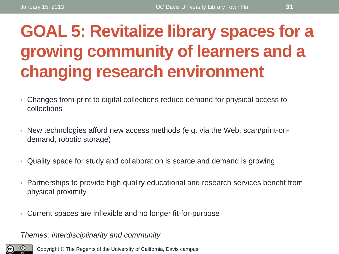### **GOAL 5: Revitalize library spaces for a growing community of learners and a changing research environment**

- Changes from print to digital collections reduce demand for physical access to collections
- New technologies afford new access methods (e.g. via the Web, scan/print-ondemand, robotic storage)
- Quality space for study and collaboration is scarce and demand is growing
- Partnerships to provide high quality educational and research services benefit from physical proximity
- Current spaces are inflexible and no longer fit-for-purpose

*Themes: interdisciplinarity and community*

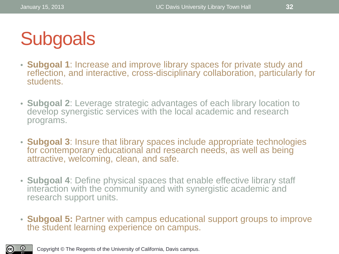

- **Subgoal 1**: Increase and improve library spaces for private study and reflection, and interactive, cross-disciplinary collaboration, particularly for students.
- **Subgoal 2**: Leverage strategic advantages of each library location to develop synergistic services with the local academic and research programs.
- **Subgoal 3**: Insure that library spaces include appropriate technologies for contemporary educational and research needs, as well as being attractive, welcoming, clean, and safe.
- **Subgoal 4**: Define physical spaces that enable effective library staff interaction with the community and with synergistic academic and research support units.
- **Subgoal 5:** Partner with campus educational support groups to improve the student learning experience on campus.

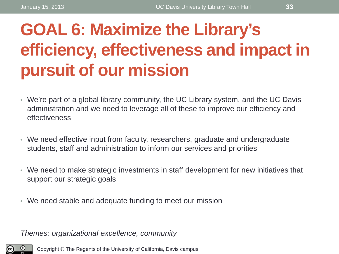### **GOAL 6: Maximize the Library's efficiency, effectiveness and impact in pursuit of our mission**

- We're part of a global library community, the UC Library system, and the UC Davis administration and we need to leverage all of these to improve our efficiency and effectiveness
- We need effective input from faculty, researchers, graduate and undergraduate students, staff and administration to inform our services and priorities
- We need to make strategic investments in staff development for new initiatives that support our strategic goals
- We need stable and adequate funding to meet our mission

*Themes: organizational excellence, community*

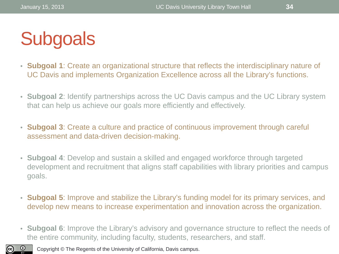## **Subgoals**

- **Subgoal 1**: Create an organizational structure that reflects the interdisciplinary nature of UC Davis and implements Organization Excellence across all the Library's functions.
- **Subgoal 2**: Identify partnerships across the UC Davis campus and the UC Library system that can help us achieve our goals more efficiently and effectively.
- **Subgoal 3**: Create a culture and practice of continuous improvement through careful assessment and data-driven decision-making.
- **Subgoal 4**: Develop and sustain a skilled and engaged workforce through targeted development and recruitment that aligns staff capabilities with library priorities and campus goals.
- **Subgoal 5**: Improve and stabilize the Library's funding model for its primary services, and develop new means to increase experimentation and innovation across the organization.
- **Subgoal 6**: Improve the Library's advisory and governance structure to reflect the needs of the entire community, including faculty, students, researchers, and staff.

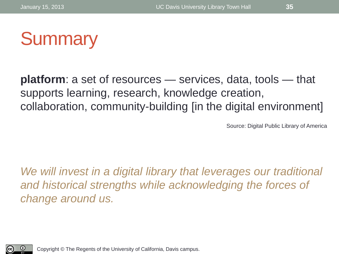

**platform**: a set of resources — services, data, tools — that supports learning, research, knowledge creation, collaboration, community-building [in the digital environment]

Source: Digital Public Library of America

We will invest in a digital library that leverages our traditional *and historical strengths while acknowledging the forces of change around us.*

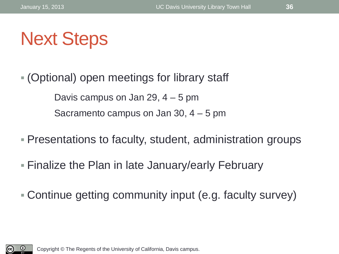(Optional) open meetings for library staff Davis campus on Jan 29, 4 – 5 pm Sacramento campus on Jan 30, 4 – 5 pm

- Presentations to faculty, student, administration groups
- Finalize the Plan in late January/early February
- Continue getting community input (e.g. faculty survey)

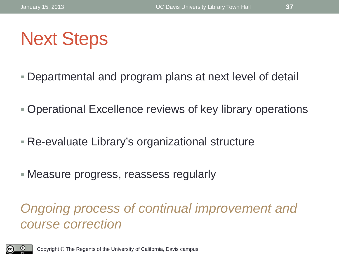- Departmental and program plans at next level of detail
- Operational Excellence reviews of key library operations
- Re-evaluate Library's organizational structure
- Measure progress, reassess regularly

### *Ongoing process of continual improvement and course correction*

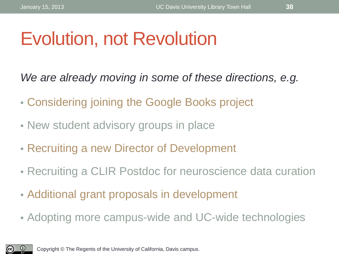### Evolution, not Revolution

*We are already moving in some of these directions, e.g.*

- Considering joining the Google Books project
- New student advisory groups in place
- Recruiting a new Director of Development
- Recruiting a CLIR Postdoc for neuroscience data curation
- Additional grant proposals in development
- Adopting more campus-wide and UC-wide technologies